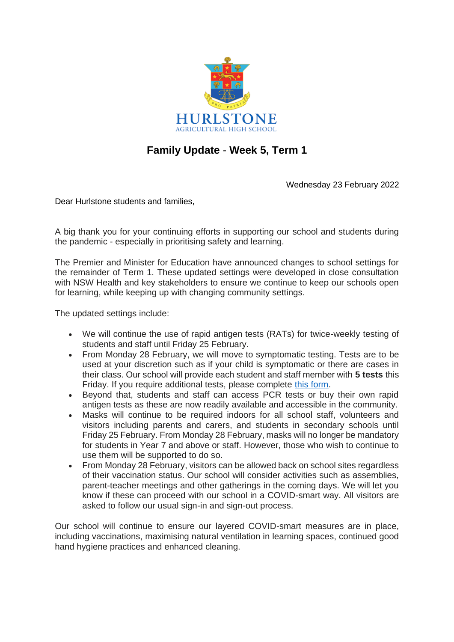

## **Family Update** - **Week 5, Term 1**

Wednesday 23 February 2022

Dear Hurlstone students and families,

A big thank you for your continuing efforts in supporting our school and students during the pandemic - especially in prioritising safety and learning.

The Premier and Minister for Education have announced changes to school settings for the remainder of Term 1. These updated settings were developed in close consultation with NSW Health and key stakeholders to ensure we continue to keep our schools open for learning, while keeping up with changing community settings.

The updated settings include:

- We will continue the use of rapid antigen tests (RATs) for twice-weekly testing of students and staff until Friday 25 February.
- From Monday 28 February, we will move to symptomatic testing. Tests are to be used at your discretion such as if your child is symptomatic or there are cases in their class. Our school will provide each student and staff member with **5 tests** this Friday. If you require additional tests, please complete [this form.](https://forms.office.com/Pages/ResponsePage.aspx?id=muagBYpBwUecJZOHJhv5kVYz8kXNsjtGoZYy9tNx6XdUMEI0U1lJUkM5Mkw0QjNYWlJBNzdEVkhDRS4u)
- Beyond that, students and staff can access PCR tests or buy their own rapid antigen tests as these are now readily available and accessible in the community.
- Masks will continue to be required indoors for all school staff, volunteers and visitors including parents and carers, and students in secondary schools until Friday 25 February. From Monday 28 February, masks will no longer be mandatory for students in Year 7 and above or staff. However, those who wish to continue to use them will be supported to do so.
- From Monday 28 February, visitors can be allowed back on school sites regardless of their vaccination status. Our school will consider activities such as assemblies, parent-teacher meetings and other gatherings in the coming days. We will let you know if these can proceed with our school in a COVID-smart way. All visitors are asked to follow our usual sign-in and sign-out process.

Our school will continue to ensure our layered COVID-smart measures are in place, including vaccinations, maximising natural ventilation in learning spaces, continued good hand hygiene practices and enhanced cleaning.